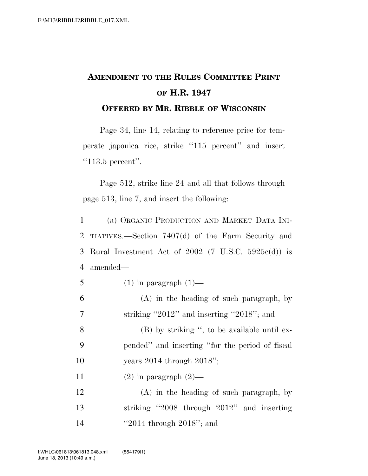## **AMENDMENT TO THE RULES COMMITTEE PRINT OF H.R. 1947 OFFERED BY MR. RIBBLE OF WISCONSIN**

Page 34, line 14, relating to reference price for temperate japonica rice, strike ''115 percent'' and insert

"113.5 percent".

Page 512, strike line 24 and all that follows through page 513, line 7, and insert the following:

 (a) ORGANIC PRODUCTION AND MARKET DATA INI- TIATIVES.—Section 7407(d) of the Farm Security and Rural Investment Act of 2002 (7 U.S.C. 5925c(d)) is 4 amended—

- 5 (1) in paragraph  $(1)$ —
- 6 (A) in the heading of such paragraph, by 7 striking ''2012'' and inserting ''2018''; and

8 (B) by striking '', to be available until ex-9 pended'' and inserting ''for the period of fiscal 10 years 2014 through 2018'';

11 (2) in paragraph  $(2)$ —

12 (A) in the heading of such paragraph, by 13 striking ''2008 through 2012'' and inserting 14 ''2014 through 2018''; and